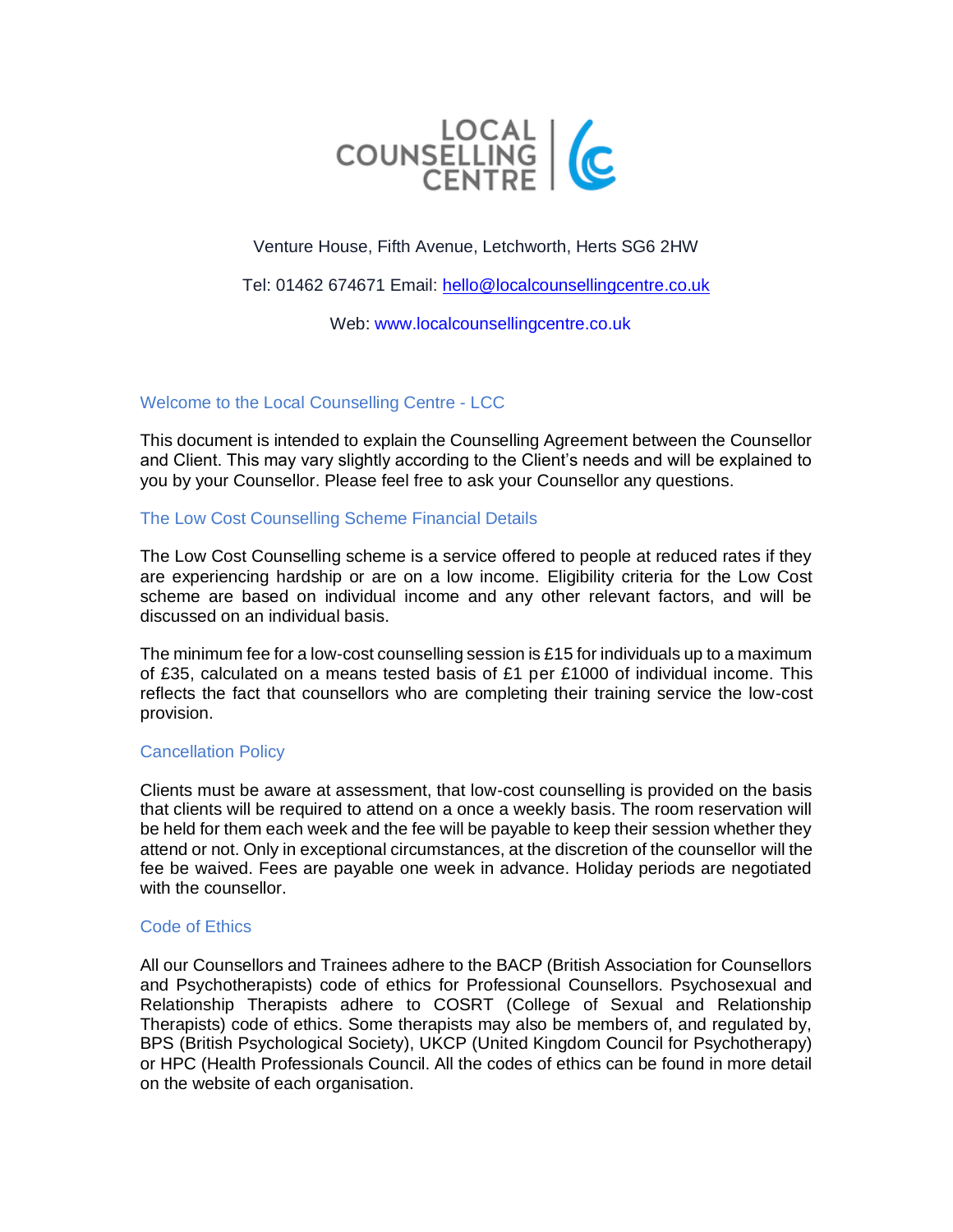

# Venture House, Fifth Avenue, Letchworth, Herts SG6 2HW

Tel: 01462 674671 Email: [hello@localcounsellingcentre.co.uk](mailto:hello@localcounsellingcentre.co.uk)

Web: www.localcounsellingcentre.co.uk

## Welcome to the Local Counselling Centre - LCC

This document is intended to explain the Counselling Agreement between the Counsellor and Client. This may vary slightly according to the Client's needs and will be explained to you by your Counsellor. Please feel free to ask your Counsellor any questions.

## The Low Cost Counselling Scheme Financial Details

The Low Cost Counselling scheme is a service offered to people at reduced rates if they are experiencing hardship or are on a low income. Eligibility criteria for the Low Cost scheme are based on individual income and any other relevant factors, and will be discussed on an individual basis.

The minimum fee for a low-cost counselling session is £15 for individuals up to a maximum of £35, calculated on a means tested basis of £1 per £1000 of individual income. This reflects the fact that counsellors who are completing their training service the low-cost provision.

### Cancellation Policy

Clients must be aware at assessment, that low-cost counselling is provided on the basis that clients will be required to attend on a once a weekly basis. The room reservation will be held for them each week and the fee will be payable to keep their session whether they attend or not. Only in exceptional circumstances, at the discretion of the counsellor will the fee be waived. Fees are payable one week in advance. Holiday periods are negotiated with the counsellor.

### Code of Ethics

All our Counsellors and Trainees adhere to the BACP (British Association for Counsellors and Psychotherapists) code of ethics for Professional Counsellors. Psychosexual and Relationship Therapists adhere to COSRT (College of Sexual and Relationship Therapists) code of ethics. Some therapists may also be members of, and regulated by, BPS (British Psychological Society), UKCP (United Kingdom Council for Psychotherapy) or HPC (Health Professionals Council. All the codes of ethics can be found in more detail on the website of each organisation.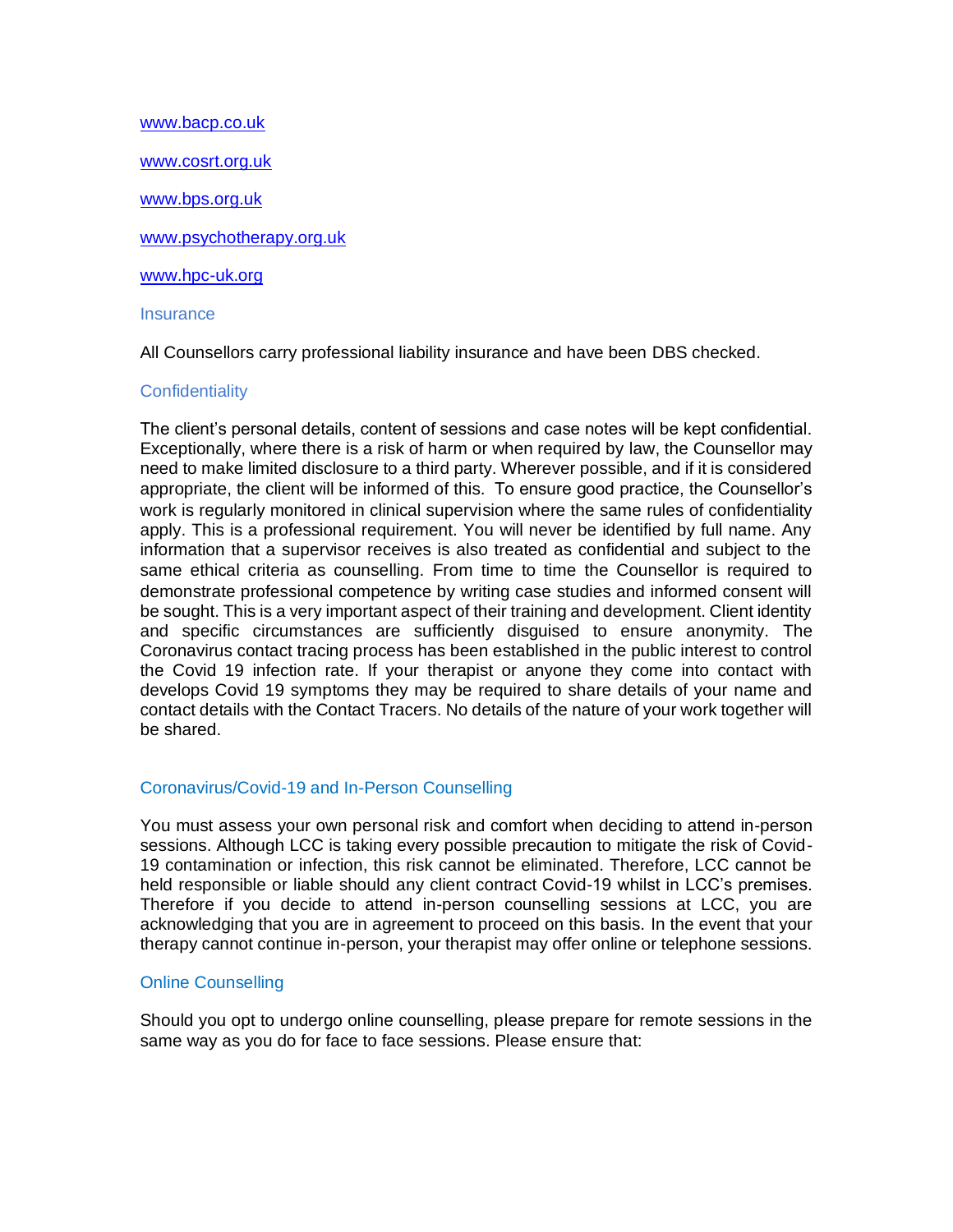[www.bacp.co.uk](http://www.bacp.co.uk/) [www.cosrt.org.uk](http://www.cosrt.org.uk/) [www.bps.org.uk](http://www.bps.org.uk/) [www.psychotherapy.org.uk](http://www.psychotherapy.org.uk/) [www.hpc-uk.org](http://www.hpc-uk.org/) **Insurance** 

All Counsellors carry professional liability insurance and have been DBS checked.

## **Confidentiality**

The client's personal details, content of sessions and case notes will be kept confidential. Exceptionally, where there is a risk of harm or when required by law, the Counsellor may need to make limited disclosure to a third party. Wherever possible, and if it is considered appropriate, the client will be informed of this. To ensure good practice, the Counsellor's work is regularly monitored in clinical supervision where the same rules of confidentiality apply. This is a professional requirement. You will never be identified by full name. Any information that a supervisor receives is also treated as confidential and subject to the same ethical criteria as counselling. From time to time the Counsellor is required to demonstrate professional competence by writing case studies and informed consent will be sought. This is a very important aspect of their training and development. Client identity and specific circumstances are sufficiently disguised to ensure anonymity. The Coronavirus contact tracing process has been established in the public interest to control the Covid 19 infection rate. If your therapist or anyone they come into contact with develops Covid 19 symptoms they may be required to share details of your name and contact details with the Contact Tracers. No details of the nature of your work together will be shared.

## Coronavirus/Covid-19 and In-Person Counselling

You must assess your own personal risk and comfort when deciding to attend in-person sessions. Although LCC is taking every possible precaution to mitigate the risk of Covid-19 contamination or infection, this risk cannot be eliminated. Therefore, LCC cannot be held responsible or liable should any client contract Covid-19 whilst in LCC's premises. Therefore if you decide to attend in-person counselling sessions at LCC, you are acknowledging that you are in agreement to proceed on this basis. In the event that your therapy cannot continue in-person, your therapist may offer online or telephone sessions.

### Online Counselling

Should you opt to undergo online counselling, please prepare for remote sessions in the same way as you do for face to face sessions. Please ensure that: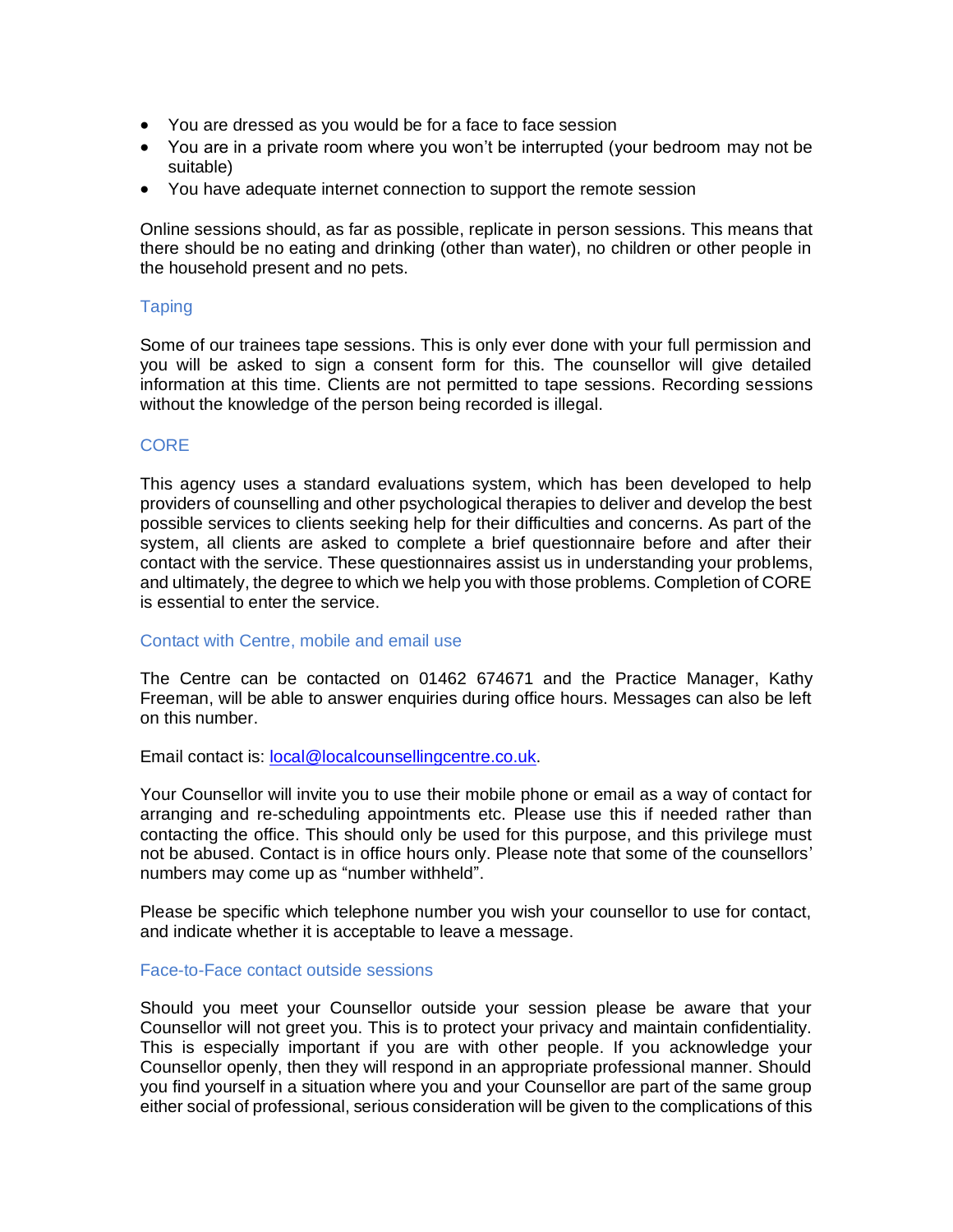- You are dressed as you would be for a face to face session
- You are in a private room where you won't be interrupted (your bedroom may not be suitable)
- You have adequate internet connection to support the remote session

Online sessions should, as far as possible, replicate in person sessions. This means that there should be no eating and drinking (other than water), no children or other people in the household present and no pets.

### **Taping**

Some of our trainees tape sessions. This is only ever done with your full permission and you will be asked to sign a consent form for this. The counsellor will give detailed information at this time. Clients are not permitted to tape sessions. Recording sessions without the knowledge of the person being recorded is illegal.

## **CORE**

This agency uses a standard evaluations system, which has been developed to help providers of counselling and other psychological therapies to deliver and develop the best possible services to clients seeking help for their difficulties and concerns. As part of the system, all clients are asked to complete a brief questionnaire before and after their contact with the service. These questionnaires assist us in understanding your problems, and ultimately, the degree to which we help you with those problems. Completion of CORE is essential to enter the service.

### Contact with Centre, mobile and email use

The Centre can be contacted on 01462 674671 and the Practice Manager, Kathy Freeman, will be able to answer enquiries during office hours. Messages can also be left on this number.

### Email contact is: [local@localcounsellingcentre.co.uk.](mailto:local@localcounsellingcentre.co.uk)

Your Counsellor will invite you to use their mobile phone or email as a way of contact for arranging and re-scheduling appointments etc. Please use this if needed rather than contacting the office. This should only be used for this purpose, and this privilege must not be abused. Contact is in office hours only. Please note that some of the counsellors' numbers may come up as "number withheld".

Please be specific which telephone number you wish your counsellor to use for contact, and indicate whether it is acceptable to leave a message.

## Face-to-Face contact outside sessions

Should you meet your Counsellor outside your session please be aware that your Counsellor will not greet you. This is to protect your privacy and maintain confidentiality. This is especially important if you are with other people. If you acknowledge your Counsellor openly, then they will respond in an appropriate professional manner. Should you find yourself in a situation where you and your Counsellor are part of the same group either social of professional, serious consideration will be given to the complications of this